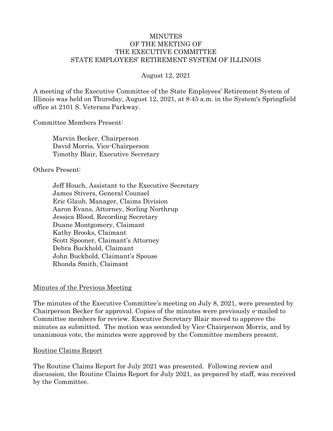#### MINUTES OF THE MEETING OF THE EXECUTIVE COMMITTEE STATE EMPLOYEES' RETIREMENT SYSTEM OF ILLINOIS

#### August 12, 2021

A meeting of the Executive Committee of the State Employees' Retirement System of Illinois was held on Thursday, August 12, 2021, at 8:45 a.m. in the System's Springfield office at 2101 S. Veterans Parkway.

Committee Members Present:

Marvin Becker, Chairperson David Morris, Vice-Chairperson Timothy Blair, Executive Secretary

#### Others Present:

Jeff Houch, Assistant to the Executive Secretary James Stivers, General Counsel Eric Glaub, Manager, Claims Division Aaron Evans, Attorney, Sorling Northrup Jessica Blood, Recording Secretary Duane Montgomery, Claimant Kathy Brooks, Claimant Scott Spooner, Claimant's Attorney Debra Buckhold, Claimant John Buckhold, Claimant's Spouse Rhonda Smith, Claimant

#### Minutes of the Previous Meeting

The minutes of the Executive Committee's meeting on July 8, 2021, were presented by Chairperson Becker for approval. Copies of the minutes were previously e-mailed to Committee members for review. Executive Secretary Blair moved to approve the minutes as submitted. The motion was seconded by Vice-Chairperson Morris, and by unanimous vote, the minutes were approved by the Committee members present.

#### Routine Claims Report

The Routine Claims Report for July 2021 was presented. Following review and discussion, the Routine Claims Report for July 2021, as prepared by staff, was received by the Committee.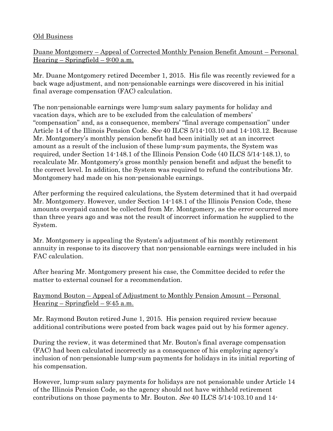# Old Business

Duane Montgomery – Appeal of Corrected Monthly Pension Benefit Amount – Personal Hearing – Springfield –  $9:00$  a.m.

Mr. Duane Montgomery retired December 1, 2015. His file was recently reviewed for a back wage adjustment, and non-pensionable earnings were discovered in his initial final average compensation (FAC) calculation.

The non-pensionable earnings were lump-sum salary payments for holiday and vacation days, which are to be excluded from the calculation of members' "compensation" and, as a consequence, members' "final average compensation" under Article 14 of the Illinois Pension Code. *See* 40 ILCS 5/14-103.10 and 14-103.12. Because Mr. Montgomery's monthly pension benefit had been initially set at an incorrect amount as a result of the inclusion of these lump-sum payments, the System was required, under Section 14-148.1 of the Illinois Pension Code (40 ILCS 5/14-148.1), to recalculate Mr. Montgomery's gross monthly pension benefit and adjust the benefit to the correct level. In addition, the System was required to refund the contributions Mr. Montgomery had made on his non-pensionable earnings.

After performing the required calculations, the System determined that it had overpaid Mr. Montgomery. However, under Section 14-148.1 of the Illinois Pension Code, these amounts overpaid cannot be collected from Mr. Montgomery, as the error occurred more than three years ago and was not the result of incorrect information he supplied to the System.

Mr. Montgomery is appealing the System's adjustment of his monthly retirement annuity in response to its discovery that non-pensionable earnings were included in his FAC calculation.

After hearing Mr. Montgomery present his case, the Committee decided to refer the matter to external counsel for a recommendation.

Raymond Bouton – Appeal of Adjustment to Monthly Pension Amount – Personal Hearing – Springfield –  $9:45$  a.m.

Mr. Raymond Bouton retired June 1, 2015. His pension required review because additional contributions were posted from back wages paid out by his former agency.

During the review, it was determined that Mr. Bouton's final average compensation (FAC) had been calculated incorrectly as a consequence of his employing agency's inclusion of non-pensionable lump-sum payments for holidays in its initial reporting of his compensation.

However, lump-sum salary payments for holidays are not pensionable under Article 14 of the Illinois Pension Code, so the agency should not have withheld retirement contributions on those payments to Mr. Bouton. See 40 ILCS 5/14-103.10 and 14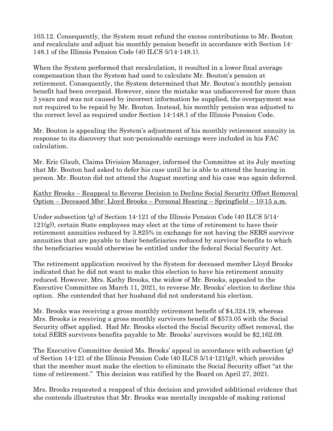103.12. Consequently, the System must refund the excess contributions to Mr. Bouton and recalculate and adjust his monthly pension benefit in accordance with Section 14- 148.1 of the Illinois Pension Code (40 ILCS 5/14-148.1).

When the System performed that recalculation, it resulted in a lower final average compensation than the System had used to calculate Mr. Bouton's pension at retirement. Consequently, the System determined that Mr. Bouton's monthly pension benefit had been overpaid. However, since the mistake was undiscovered for more than 3 years and was not caused by incorrect information he supplied, the overpayment was not required to be repaid by Mr. Bouton. Instead, his monthly pension was adjusted to the correct level as required under Section 14-148.1 of the Illinois Pension Code.

Mr. Bouton is appealing the System's adjustment of his monthly retirement annuity in response to its discovery that non-pensionable earnings were included in his FAC calculation.

Mr. Eric Glaub, Claims Division Manager, informed the Committee at its July meeting that Mr. Bouton had asked to defer his case until he is able to attend the hearing in person. Mr. Bouton did not attend the August meeting and his case was again deferred.

#### Kathy Brooks – Reappeal to Reverse Decision to Decline Social Security Offset Removal Option – Deceased Mbr: Lloyd Brooks – Personal Hearing – Springfield – 10:15 a.m.

Under subsection (g) of Section 14-121 of the Illinois Pension Code (40 ILCS 5/14-121(g)), certain State employees may elect at the time of retirement to have their retirement annuities reduced by 3.825% in exchange for not having the SERS survivor annuities that are payable to their beneficiaries reduced by survivor benefits to which the beneficiaries would otherwise be entitled under the federal Social Security Act.

The retirement application received by the System for deceased member Lloyd Brooks indicated that he did not want to make this election to have his retirement annuity reduced. However, Mrs. Kathy Brooks, the widow of Mr. Brooks, appealed to the Executive Committee on March 11, 2021, to reverse Mr. Brooks' election to decline this option. She contended that her husband did not understand his election.

Mr. Brooks was receiving a gross monthly retirement benefit of \$4,324.19, whereas Mrs. Brooks is receiving a gross monthly survivors benefit of \$573.05 with the Social Security offset applied. Had Mr. Brooks elected the Social Security offset removal, the total SERS survivors benefits payable to Mr. Brooks' survivors would be \$2,162.09.

The Executive Committee denied Ms. Brooks' appeal in accordance with subsection (g) of Section 14-121 of the Illinois Pension Code (40 ILCS 5/14-121(g)), which provides that the member must make the election to eliminate the Social Security offset "at the time of retirement." This decision was ratified by the Board on April 27, 2021.

Mrs. Brooks requested a reappeal of this decision and provided additional evidence that she contends illustrates that Mr. Brooks was mentally incapable of making rational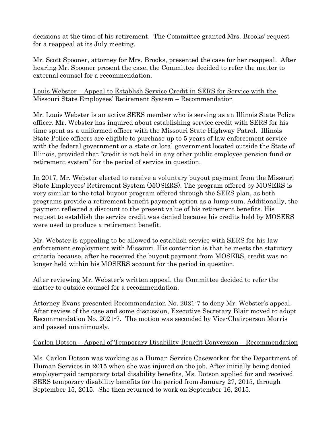decisions at the time of his retirement. The Committee granted Mrs. Brooks' request for a reappeal at its July meeting.

Mr. Scott Spooner, attorney for Mrs. Brooks, presented the case for her reappeal. After hearing Mr. Spooner present the case, the Committee decided to refer the matter to external counsel for a recommendation.

#### Louis Webster – Appeal to Establish Service Credit in SERS for Service with the Missouri State Employees' Retirement System – Recommendation

Mr. Louis Webster is an active SERS member who is serving as an Illinois State Police officer. Mr. Webster has inquired about establishing service credit with SERS for his time spent as a uniformed officer with the Missouri State Highway Patrol. Illinois State Police officers are eligible to purchase up to 5 years of law enforcement service with the federal government or a state or local government located outside the State of Illinois, provided that "credit is not held in any other public employee pension fund or retirement system" for the period of service in question.

In 2017, Mr. Webster elected to receive a voluntary buyout payment from the Missouri State Employees' Retirement System (MOSERS). The program offered by MOSERS is very similar to the total buyout program offered through the SERS plan, as both programs provide a retirement benefit payment option as a lump sum. Additionally, the payment reflected a discount to the present value of his retirement benefits. His request to establish the service credit was denied because his credits held by MOSERS were used to produce a retirement benefit.

Mr. Webster is appealing to be allowed to establish service with SERS for his law enforcement employment with Missouri. His contention is that he meets the statutory criteria because, after he received the buyout payment from MOSERS, credit was no longer held within his MOSERS account for the period in question.

After reviewing Mr. Webster's written appeal, the Committee decided to refer the matter to outside counsel for a recommendation.

Attorney Evans presented Recommendation No. 2021-7 to deny Mr. Webster's appeal. After review of the case and some discussion, Executive Secretary Blair moved to adopt Recommendation No. 2021-7. The motion was seconded by Vice-Chairperson Morris and passed unanimously.

# Carlon Dotson – Appeal of Temporary Disability Benefit Conversion – Recommendation

Ms. Carlon Dotson was working as a Human Service Caseworker for the Department of Human Services in 2015 when she was injured on the job. After initially being denied employer-paid temporary total disability benefits, Ms. Dotson applied for and received SERS temporary disability benefits for the period from January 27, 2015, through September 15, 2015. She then returned to work on September 16, 2015.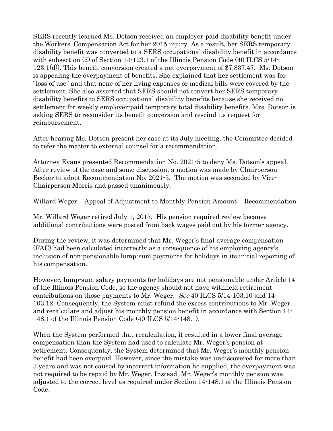SERS recently learned Ms. Dotson received an employer-paid disability benefit under the Workers' Compensation Act for her 2015 injury. As a result, her SERS temporary disability benefit was converted to a SERS occupational disability benefit in accordance with subsection (d) of Section 14-123.1 of the Illinois Pension Code (40 ILCS 5/14-123.1(d)). This benefit conversion created a net overpayment of \$7,837.47. Ms. Dotson is appealing the overpayment of benefits. She explained that her settlement was for "loss of use" and that none of her living expenses or medical bills were covered by the settlement. She also asserted that SERS should not convert her SERS temporary disability benefits to SERS occupational disability benefits because she received no settlement for weekly employer-paid temporary total disability benefits. Mrs. Dotson is asking SERS to reconsider its benefit conversion and rescind its request for reimbursement.

After hearing Ms. Dotson present her case at its July meeting, the Committee decided to refer the matter to external counsel for a recommendation.

Attorney Evans presented Recommendation No. 2021-5 to deny Ms. Dotson's appeal. After review of the case and some discussion, a motion was made by Chairperson Becker to adopt Recommendation No. 2021-5. The motion was seconded by Vice-Chairperson Morris and passed unanimously.

#### Willard Weger – Appeal of Adjustment to Monthly Pension Amount – Recommendation

Mr. Willard Weger retired July 1, 2015. His pension required review because additional contributions were posted from back wages paid out by his former agency.

During the review, it was determined that Mr. Weger's final average compensation (FAC) had been calculated incorrectly as a consequence of his employing agency's inclusion of non-pensionable lump-sum payments for holidays in its initial reporting of his compensation.

However, lump-sum salary payments for holidays are not pensionable under Article 14 of the Illinois Pension Code, so the agency should not have withheld retirement contributions on those payments to Mr. Weger. See 40 ILCS 5/14-103.10 and 14- 103.12. Consequently, the System must refund the excess contributions to Mr. Weger and recalculate and adjust his monthly pension benefit in accordance with Section 14- 148.1 of the Illinois Pension Code (40 ILCS 5/14-148.1).

When the System performed that recalculation, it resulted in a lower final average compensation than the System had used to calculate Mr. Weger's pension at retirement. Consequently, the System determined that Mr. Weger's monthly pension benefit had been overpaid. However, since the mistake was undiscovered for more than 3 years and was not caused by incorrect information he supplied, the overpayment was not required to be repaid by Mr. Weger. Instead, Mr. Weger's monthly pension was adjusted to the correct level as required under Section 14-148.1 of the Illinois Pension Code.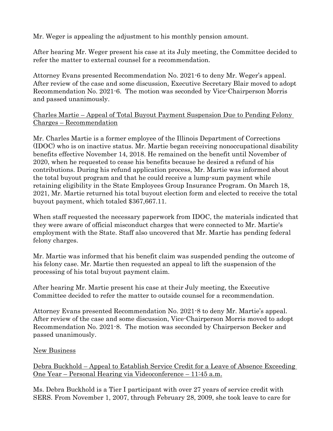Mr. Weger is appealing the adjustment to his monthly pension amount.

After hearing Mr. Weger present his case at its July meeting, the Committee decided to refer the matter to external counsel for a recommendation.

Attorney Evans presented Recommendation No. 2021-6 to deny Mr. Weger's appeal. After review of the case and some discussion, Executive Secretary Blair moved to adopt Recommendation No. 2021-6. The motion was seconded by Vice-Chairperson Morris and passed unanimously.

Charles Martie – Appeal of Total Buyout Payment Suspension Due to Pending Felony Charges – Recommendation

Mr. Charles Martie is a former employee of the Illinois Department of Corrections (IDOC) who is on inactive status. Mr. Martie began receiving nonoccupational disability benefits effective November 14, 2018. He remained on the benefit until November of 2020, when he requested to cease his benefits because he desired a refund of his contributions. During his refund application process, Mr. Martie was informed about the total buyout program and that he could receive a lump-sum payment while retaining eligibility in the State Employees Group Insurance Program. On March 18, 2021, Mr. Martie returned his total buyout election form and elected to receive the total buyout payment, which totaled \$367,667.11.

When staff requested the necessary paperwork from IDOC, the materials indicated that they were aware of official misconduct charges that were connected to Mr. Martie's employment with the State. Staff also uncovered that Mr. Martie has pending federal felony charges.

Mr. Martie was informed that his benefit claim was suspended pending the outcome of his felony case. Mr. Martie then requested an appeal to lift the suspension of the processing of his total buyout payment claim.

After hearing Mr. Martie present his case at their July meeting, the Executive Committee decided to refer the matter to outside counsel for a recommendation.

Attorney Evans presented Recommendation No. 2021-8 to deny Mr. Martie's appeal. After review of the case and some discussion, Vice-Chairperson Morris moved to adopt Recommendation No. 2021-8. The motion was seconded by Chairperson Becker and passed unanimously.

# New Business

Debra Buckhold – Appeal to Establish Service Credit for a Leave of Absence Exceeding One Year – Personal Hearing via Videoconference – 11:45 a.m.

Ms. Debra Buckhold is a Tier I participant with over 27 years of service credit with SERS. From November 1, 2007, through February 28, 2009, she took leave to care for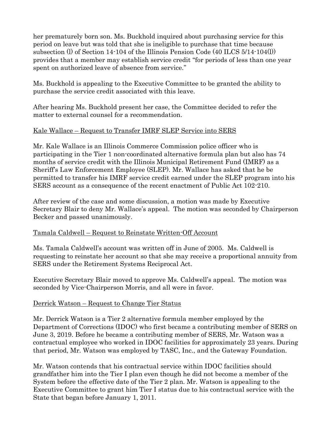her prematurely born son. Ms. Buckhold inquired about purchasing service for this period on leave but was told that she is ineligible to purchase that time because subsection (l) of Section 14-104 of the Illinois Pension Code (40 ILCS 5/14-104(l)) provides that a member may establish service credit "for periods of less than one year spent on authorized leave of absence from service."

Ms. Buckhold is appealing to the Executive Committee to be granted the ability to purchase the service credit associated with this leave.

After hearing Ms. Buckhold present her case, the Committee decided to refer the matter to external counsel for a recommendation.

# Kale Wallace – Request to Transfer IMRF SLEP Service into SERS

Mr. Kale Wallace is an Illinois Commerce Commission police officer who is participating in the Tier 1 non-coordinated alternative formula plan but also has 74 months of service credit with the Illinois Municipal Retirement Fund (IMRF) as a Sheriff's Law Enforcement Employee (SLEP). Mr. Wallace has asked that he be permitted to transfer his IMRF service credit earned under the SLEP program into his SERS account as a consequence of the recent enactment of Public Act 102-210.

After review of the case and some discussion, a motion was made by Executive Secretary Blair to deny Mr. Wallace's appeal. The motion was seconded by Chairperson Becker and passed unanimously.

# Tamala Caldwell – Request to Reinstate Written-Off Account

Ms. Tamala Caldwell's account was written off in June of 2005. Ms. Caldwell is requesting to reinstate her account so that she may receive a proportional annuity from SERS under the Retirement Systems Reciprocal Act.

Executive Secretary Blair moved to approve Ms. Caldwell's appeal. The motion was seconded by Vice-Chairperson Morris, and all were in favor.

# Derrick Watson – Request to Change Tier Status

Mr. Derrick Watson is a Tier 2 alternative formula member employed by the Department of Corrections (IDOC) who first became a contributing member of SERS on June 3, 2019. Before he became a contributing member of SERS, Mr. Watson was a contractual employee who worked in IDOC facilities for approximately 23 years. During that period, Mr. Watson was employed by TASC, Inc., and the Gateway Foundation.

Mr. Watson contends that his contractual service within IDOC facilities should grandfather him into the Tier I plan even though he did not become a member of the System before the effective date of the Tier 2 plan. Mr. Watson is appealing to the Executive Committee to grant him Tier I status due to his contractual service with the State that began before January 1, 2011.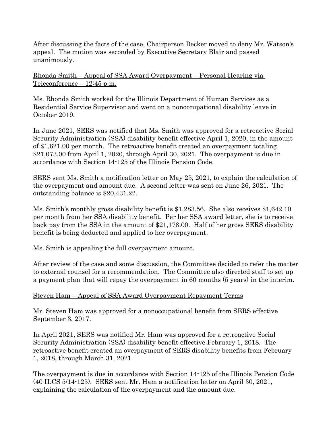After discussing the facts of the case, Chairperson Becker moved to deny Mr. Watson's appeal. The motion was seconded by Executive Secretary Blair and passed unanimously.

Rhonda Smith – Appeal of SSA Award Overpayment – Personal Hearing via Teleconference – 12:45 p.m.

Ms. Rhonda Smith worked for the Illinois Department of Human Services as a Residential Service Supervisor and went on a nonoccupational disability leave in October 2019.

In June 2021, SERS was notified that Ms. Smith was approved for a retroactive Social Security Administration (SSA) disability benefit effective April 1, 2020, in the amount of \$1,621.00 per month. The retroactive benefit created an overpayment totaling \$21,073.00 from April 1, 2020, through April 30, 2021. The overpayment is due in accordance with Section 14-125 of the Illinois Pension Code.

SERS sent Ms. Smith a notification letter on May 25, 2021, to explain the calculation of the overpayment and amount due. A second letter was sent on June 26, 2021. The outstanding balance is \$20,431.22.

Ms. Smith's monthly gross disability benefit is \$1,283.56. She also receives \$1,642.10 per month from her SSA disability benefit. Per her SSA award letter, she is to receive back pay from the SSA in the amount of \$21,178.00. Half of her gross SERS disability benefit is being deducted and applied to her overpayment.

Ms. Smith is appealing the full overpayment amount.

After review of the case and some discussion, the Committee decided to refer the matter to external counsel for a recommendation. The Committee also directed staff to set up a payment plan that will repay the overpayment in 60 months (5 years) in the interim.

# Steven Ham – Appeal of SSA Award Overpayment Repayment Terms

Mr. Steven Ham was approved for a nonoccupational benefit from SERS effective September 3, 2017.

In April 2021, SERS was notified Mr. Ham was approved for a retroactive Social Security Administration (SSA) disability benefit effective February 1, 2018. The retroactive benefit created an overpayment of SERS disability benefits from February 1, 2018, through March 31, 2021.

The overpayment is due in accordance with Section 14-125 of the Illinois Pension Code (40 ILCS 5/14-125). SERS sent Mr. Ham a notification letter on April 30, 2021, explaining the calculation of the overpayment and the amount due.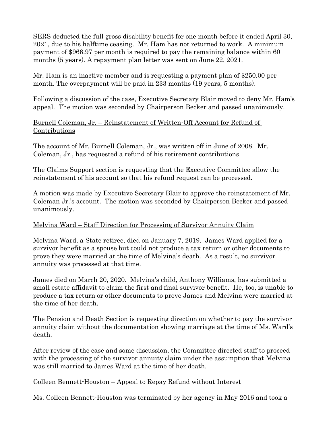SERS deducted the full gross disability benefit for one month before it ended April 30, 2021, due to his halftime ceasing. Mr. Ham has not returned to work. A minimum payment of \$966.97 per month is required to pay the remaining balance within 60 months (5 years). A repayment plan letter was sent on June 22, 2021.

Mr. Ham is an inactive member and is requesting a payment plan of \$250.00 per month. The overpayment will be paid in 233 months (19 years, 5 months).

Following a discussion of the case, Executive Secretary Blair moved to deny Mr. Ham's appeal. The motion was seconded by Chairperson Becker and passed unanimously.

#### Burnell Coleman, Jr. – Reinstatement of Written-Off Account for Refund of Contributions

The account of Mr. Burnell Coleman, Jr., was written off in June of 2008. Mr. Coleman, Jr., has requested a refund of his retirement contributions.

The Claims Support section is requesting that the Executive Committee allow the reinstatement of his account so that his refund request can be processed.

A motion was made by Executive Secretary Blair to approve the reinstatement of Mr. Coleman Jr.'s account. The motion was seconded by Chairperson Becker and passed unanimously.

# Melvina Ward – Staff Direction for Processing of Survivor Annuity Claim

Melvina Ward, a State retiree, died on January 7, 2019. James Ward applied for a survivor benefit as a spouse but could not produce a tax return or other documents to prove they were married at the time of Melvina's death. As a result, no survivor annuity was processed at that time.

James died on March 20, 2020. Melvina's child, Anthony Williams, has submitted a small estate affidavit to claim the first and final survivor benefit. He, too, is unable to produce a tax return or other documents to prove James and Melvina were married at the time of her death.

The Pension and Death Section is requesting direction on whether to pay the survivor annuity claim without the documentation showing marriage at the time of Ms. Ward's death.

After review of the case and some discussion, the Committee directed staff to proceed with the processing of the survivor annuity claim under the assumption that Melvina was still married to James Ward at the time of her death.

# Colleen Bennett-Houston – Appeal to Repay Refund without Interest

Ms. Colleen Bennett-Houston was terminated by her agency in May 2016 and took a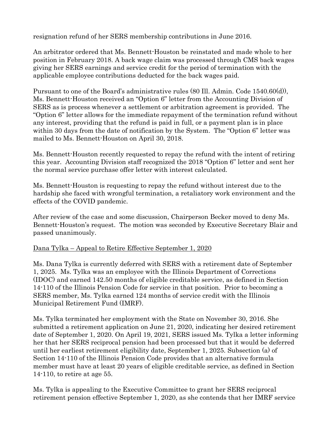resignation refund of her SERS membership contributions in June 2016.

An arbitrator ordered that Ms. Bennett-Houston be reinstated and made whole to her position in February 2018. A back wage claim was processed through CMS back wages giving her SERS earnings and service credit for the period of termination with the applicable employee contributions deducted for the back wages paid.

Pursuant to one of the Board's administrative rules (80 Ill. Admin. Code 1540.60(d)), Ms. Bennett-Houston received an "Option 6" letter from the Accounting Division of SERS as is process whenever a settlement or arbitration agreement is provided. The "Option 6" letter allows for the immediate repayment of the termination refund without any interest, providing that the refund is paid in full, or a payment plan is in place within 30 days from the date of notification by the System. The "Option 6" letter was mailed to Ms. Bennett-Houston on April 30, 2018.

Ms. Bennett-Houston recently requested to repay the refund with the intent of retiring this year. Accounting Division staff recognized the 2018 "Option 6" letter and sent her the normal service purchase offer letter with interest calculated.

Ms. Bennett-Houston is requesting to repay the refund without interest due to the hardship she faced with wrongful termination, a retaliatory work environment and the effects of the COVID pandemic.

After review of the case and some discussion, Chairperson Becker moved to deny Ms. Bennett-Houston's request. The motion was seconded by Executive Secretary Blair and passed unanimously.

# Dana Tylka – Appeal to Retire Effective September 1, 2020

Ms. Dana Tylka is currently deferred with SERS with a retirement date of September 1, 2025. Ms. Tylka was an employee with the Illinois Department of Corrections (IDOC) and earned 142.50 months of eligible creditable service, as defined in Section 14-110 of the Illinois Pension Code for service in that position. Prior to becoming a SERS member, Ms. Tylka earned 124 months of service credit with the Illinois Municipal Retirement Fund (IMRF).

Ms. Tylka terminated her employment with the State on November 30, 2016. She submitted a retirement application on June 21, 2020, indicating her desired retirement date of September 1, 2020. On April 19, 2021, SERS issued Ms. Tylka a letter informing her that her SERS reciprocal pension had been processed but that it would be deferred until her earliest retirement eligibility date, September 1, 2025. Subsection (a) of Section 14-110 of the Illinois Pension Code provides that an alternative formula member must have at least 20 years of eligible creditable service, as defined in Section 14-110, to retire at age 55.

Ms. Tylka is appealing to the Executive Committee to grant her SERS reciprocal retirement pension effective September 1, 2020, as she contends that her IMRF service